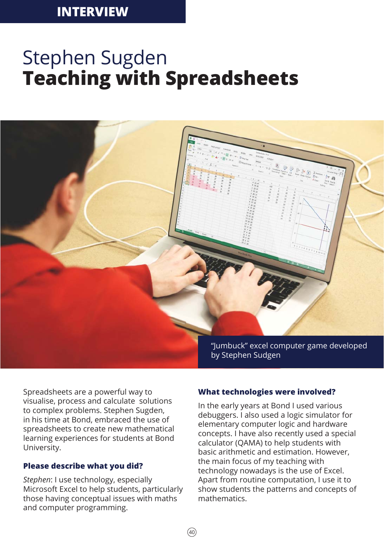# Stephen Sugden **Teaching with Spreadsheets**



 $(40)$ 

Spreadsheets are a powerful way to visualise, process and calculate solutions to complex problems. Stephen Sugden, in his time at Bond, embraced the use of spreadsheets to create new mathematical learning experiences for students at Bond University.

#### **Please describe what you did?**

*Stephen*: I use technology, especially Microsoft Excel to help students, particularly those having conceptual issues with maths and computer programming.

#### **What technologies were involved?**

In the early years at Bond I used various debuggers. I also used a logic simulator for elementary computer logic and hardware concepts. I have also recently used a special calculator (QAMA) to help students with basic arithmetic and estimation. However, the main focus of my teaching with technology nowadays is the use of Excel. Apart from routine computation, I use it to show students the patterns and concepts of mathematics.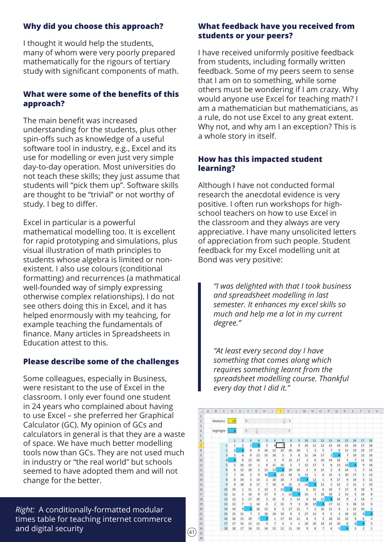## **Why did you choose this approach?**

I thought it would help the students, many of whom were very poorly prepared mathematically for the rigours of tertiary study with significant components of math.

#### **What were some of the benefits of this approach?**

The main benefit was increased understanding for the students, plus other spin-offs such as knowledge of a useful software tool in industry, e.g., Excel and its use for modelling or even just very simple day-to-day operation. Most universities do not teach these skills; they just assume that students will "pick them up". Software skills are thought to be "trivial" or not worthy of study. I beg to differ.

Excel in particular is a powerful mathematical modelling too. It is excellent for rapid prototyping and simulations, plus visual illustration of math principles to students whose algebra is limited or nonexistent. I also use colours (conditional formatting) and recurrences (a mathmatical well-founded way of simply expressing otherwise complex relationships). I do not see others doing this in Excel, and it has helped enormously with my teahcing, for example teaching the fundamentals of finance. Many articles in Spreadsheets in Education attest to this.

# **Please describe some of the challenges**

Some colleagues, especially in Business, were resistant to the use of Excel in the classroom. I only ever found one student in 24 years who complained about having to use Excel – she preferred her Graphical Calculator (GC). My opinion of GCs and calculators in general is that they are a waste of space. We have much better modelling tools now than GCs. They are not used much in industry or "the real world" but schools seemed to have adopted them and will not change for the better.

*Right:* A conditionally-formatted modular times table for teaching internet commerce and digital security

#### **What feedback have you received from students or your peers?**

I have received uniformly positive feedback from students, including formally written feedback. Some of my peers seem to sense that I am on to something, while some others must be wondering if I am crazy. Why would anyone use Excel for teaching math? I am a mathematician but mathematicians, as a rule, do not use Excel to any great extent. Why not, and why am I an exception? This is a whole story in itself.

### **How has this impacted student learning?**

Although I have not conducted formal research the anecdotal evidence is very positive. I often run workshops for highschool teachers on how to use Excel in the classroom and they always are very appreciative. I have many unsolicited letters of appreciation from such people. Student feedback for my Excel modelling unit at Bond was very positive:

*"I was delighted with that I took business and spreadsheet modelling in last semester. It enhances my excel skills so much and help me a lot in my current degree."*

*"At least every second day I have something that comes along which requires something learnt from the spreadsheet modelling course. Thankful every day that I did it."*